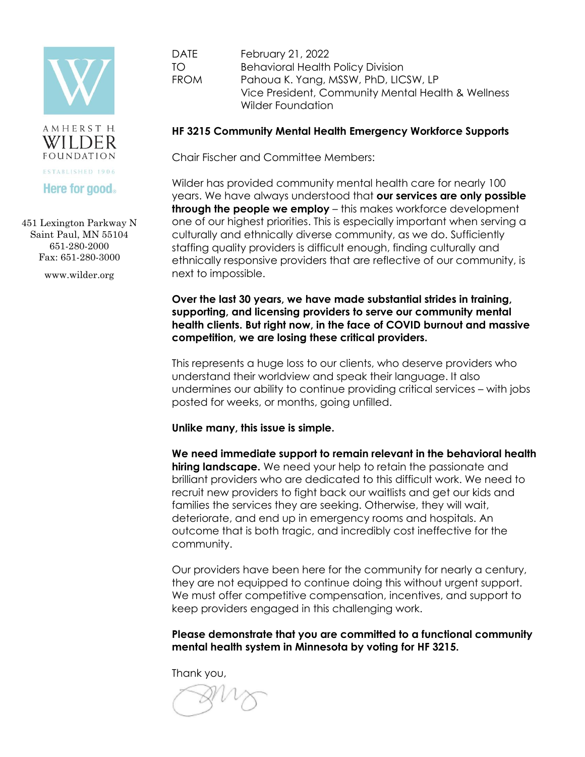



451 Lexington Parkway N Saint Paul, MN 55104 651-280-2000 Fax: 651-280-3000

www.wilder.org

DATE February 21, 2022 TO Behavioral Health Policy Division FROM Pahoua K. Yang, MSSW, PhD, LICSW, LP Vice President, Community Mental Health & Wellness Wilder Foundation

## **HF 3215 Community Mental Health Emergency Workforce Supports**

Chair Fischer and Committee Members:

Wilder has provided community mental health care for nearly 100 years. We have always understood that **our services are only possible through the people we employ** – this makes workforce development one of our highest priorities. This is especially important when serving a culturally and ethnically diverse community, as we do. Sufficiently staffing quality providers is difficult enough, finding culturally and ethnically responsive providers that are reflective of our community, is next to impossible.

**Over the last 30 years, we have made substantial strides in training, supporting, and licensing providers to serve our community mental health clients. But right now, in the face of COVID burnout and massive competition, we are losing these critical providers.**

This represents a huge loss to our clients, who deserve providers who understand their worldview and speak their language. It also undermines our ability to continue providing critical services – with jobs posted for weeks, or months, going unfilled.

**Unlike many, this issue is simple.**

**We need immediate support to remain relevant in the behavioral health hiring landscape.** We need your help to retain the passionate and brilliant providers who are dedicated to this difficult work. We need to recruit new providers to fight back our waitlists and get our kids and families the services they are seeking. Otherwise, they will wait, deteriorate, and end up in emergency rooms and hospitals. An outcome that is both tragic, and incredibly cost ineffective for the community.

Our providers have been here for the community for nearly a century, they are not equipped to continue doing this without urgent support. We must offer competitive compensation, incentives, and support to keep providers engaged in this challenging work.

**Please demonstrate that you are committed to a functional community mental health system in Minnesota by voting for HF 3215.** 

Thank you,